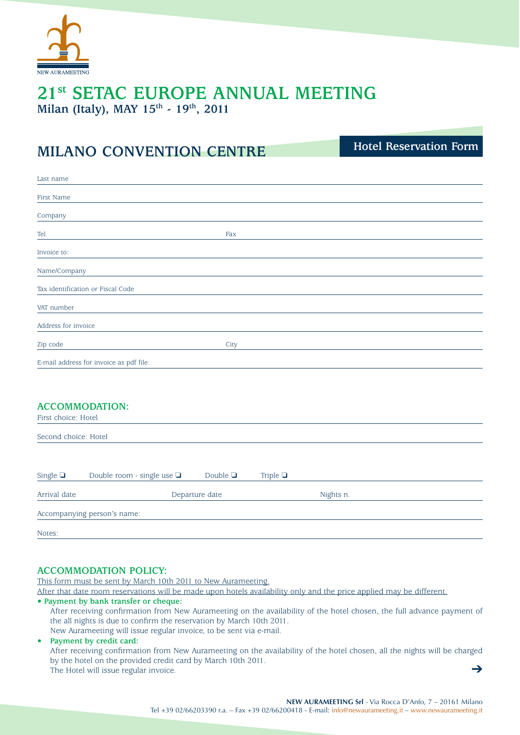

## **21st SETAC EUROPE ANNUAL MEETING**  Milan (Italy), MAY  $15<sup>th</sup>$  -  $19<sup>th</sup>$ , 2011

# **MILANO CONVENTION CENTRE**

**Hotel Reservation Form**

| Last name                               |      |
|-----------------------------------------|------|
| <b>First Name</b>                       |      |
| Company                                 |      |
| Tel.                                    | Fax  |
| Invoice to:                             |      |
| Name/Company                            |      |
| Tax identification or Fiscal Code       |      |
| VAT number                              |      |
| Address for invoice                     |      |
| Zip code                                | City |
| E-mail address for invoice as pdf file: |      |
|                                         |      |

## **ACCOMMODATION:**

| First choice: Hotel<br>Second choice: Hotel |  |                |  |           |  |  |
|---------------------------------------------|--|----------------|--|-----------|--|--|
|                                             |  |                |  |           |  |  |
| Arrival date                                |  | Departure date |  | Nights n. |  |  |
| Accompanying person's name:                 |  |                |  |           |  |  |
| Notes:                                      |  |                |  |           |  |  |

## **ACCOMMODATION POLICY:**

This form must be sent by March 10th 2011 to New Aurameeting.

After that date room reservations will be made upon hotels availability only and the price applied may be different.

#### **• Payment by bank transfer or cheque:**

After receiving confirmation from New Aurameeting on the availability of the hotel chosen, the full advance payment of the all nights is due to confirm the reservation by March 10th 2011.

New Aurameeting will issue regular invoice, to be sent via e-mail.

## **• Payment by credit card:**

➔ After receiving confirmation from New Aurameeting on the availability of the hotel chosen, all the nights will be charged by the hotel on the provided credit card by March 10th 2011. The Hotel will issue regular invoice.